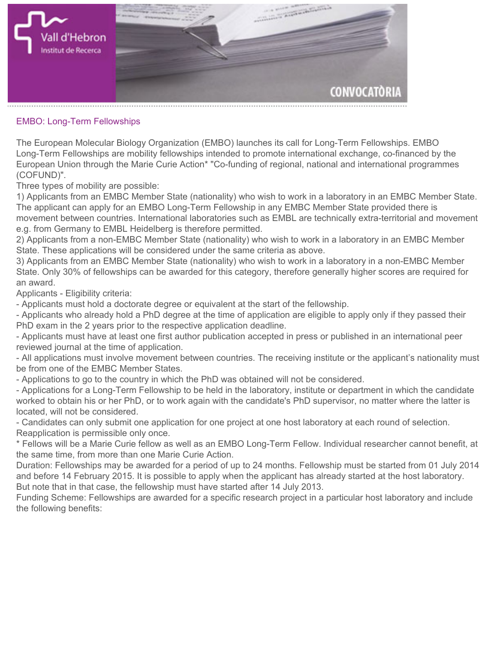

## **EMBO: Long-Term Fellowships**

**The European Molecular Biology Organization (EMBO) launches its call for Long-Term Fellowships. EMBO Long-Term Fellowships are mobility fellowships intended to promote international exchange, co-financed by the European Union through the Marie Curie Action\* "Co-funding of regional, national and international programmes (COFUND)".**

**Three types of mobility are possible:**

**1) Applicants from an EMBC Member State (nationality) who wish to work in a laboratory in an [EMBC Member State.](http://www.embo.org/about-embo/member-states) The applicant can apply for an EMBO Long-Term Fellowship in any EMBC Member State provided there is movement between countries. International laboratories such as EMBL are technically extra-territorial and movement e.g. from Germany to EMBL Heidelberg is therefore permitted.**

**2) Applicants from a non-EMBC Member State (nationality) who wish to work in a laboratory in an EMBC Member State. These applications will be considered under the same criteria as above.**

**3) Applicants from an EMBC Member State (nationality) who wish to work in a laboratory in a non-EMBC Member State. Only 30% of fellowships can be awarded for this category, therefore generally higher scores are required for an award.**

**Applicants - Eligibility criteria:**

**- Applicants must hold a doctorate degree or equivalent at the start of the fellowship.**

**- Applicants who already hold a PhD degree at the time of application are eligible to apply only if they passed their PhD exam in the 2 years prior to the respective application deadline.**

**- Applicants must have at least one first author publication accepted in press or published in an international peer reviewed journal at the time of application.**

**- All applications must involve movement between countries. The receiving institute or the applicant's nationality must be from one of the EMBC Member States.**

**- Applications to go to the country in which the PhD was obtained will not be considered.**

**- Applications for a Long-Term Fellowship to be held in the laboratory, institute or department in which the candidate worked to obtain his or her PhD, or to work again with the candidate's PhD supervisor, no matter where the latter is located, will not be considered.**

**- Candidates can only submit one application for one project at one host laboratory at each round of selection. Reapplication is permissible only once.**

**\* Fellows will be a Marie Curie fellow as well as an EMBO Long-Term Fellow. Individual researcher cannot benefit, at the same time, from more than one Marie Curie Action.**

**Duration: Fellowships may be awarded for a period of up to 24 months. Fellowship must be started from 01 July 2014 and before 14 February 2015. It is possible to apply when the applicant has already started at the host laboratory. But note that in that case, the fellowship must have started after 14 July 2013.**

**Funding Scheme: Fellowships are awarded for a specific research project in a particular host laboratory and include the following benefits:**